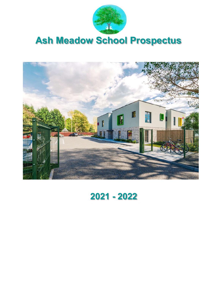

# Ash Meadow School Prospectus



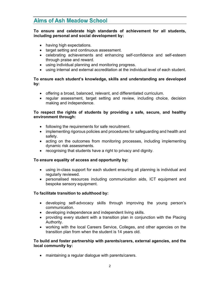# **Aims of Ash Meadow School**

#### To ensure and celebrate high standards of achievement for all students, including personal and social development by:

- having high expectations.
- target setting and continuous assessment.
- celebrating achievements and enhancing self-confidence and self-esteem through praise and reward.
- using individual planning and monitoring progress.
- using internal and external accreditation at the individual level of each student.

## To ensure each student's knowledge, skills and understanding are developed by:

- offering a broad, balanced, relevant, and differentiated curriculum.
- regular assessment, target setting and review, including choice, decision making and independence.

## To respect the rights of students by providing a safe, secure, and healthy environment through:

- following the requirements for safe recruitment.
- implementing rigorous policies and procedures for safeguarding and health and safety.
- acting on the outcomes from monitoring processes, including implementing dynamic risk assessments.
- recognising that students have a right to privacy and dignity.

#### To ensure equality of access and opportunity by:

- using in-class support for each student ensuring all planning is individual and regularly reviewed.
- personalised resources including communication aids, ICT equipment and bespoke sensory equipment.

## To facilitate transition to adulthood by:

- developing self-advocacy skills through improving the young person's communication.
- developing independence and independent living skills.
- providing every student with a transition plan in conjunction with the Placing Authority.
- working with the local Careers Service, Colleges, and other agencies on the transition plan from when the student is 14 years old.

## To build and foster partnership with parents/carers, external agencies, and the local community by:

maintaining a regular dialogue with parents/carers.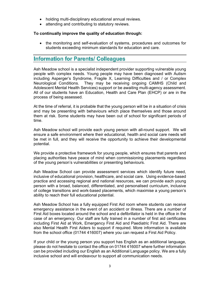- holding multi-disciplinary educational annual reviews.
- attending and contributing to statutory reviews.

#### To continually improve the quality of education through:

• the monitoring and self-evaluation of systems, procedures and outcomes for students exceeding minimum standards for education and care.

# **Information for Parents/ Colleagues**

Ash Meadow school is a specialist independent provider supporting vulnerable young people with complex needs. Young people may have been diagnosed with Autism including Asperger's Syndrome, Fragile X, Learning Difficulties and / or Complex Neurological Conditions. They may be receiving ongoing CAMHS (Child and Adolescent Mental Health Services) support or be awaiting multi-agency assessment. All of our students have an Education, Health and Care Plan (EHCP) or are in the process of being assessed.

At the time of referral, it is probable that the young person will be in a situation of crisis and may be presenting with behaviours which place themselves and those around them at risk. Some students may have been out of school for significant periods of time.

Ash Meadow school will provide each young person with all-round support. We will ensure a safe environment where their educational, health and social care needs will be met in full, and they will receive the opportunity to achieve their developmental potential.

We provide a protective framework for young people, which ensures that parents and placing authorities have peace of mind when commissioning placements regardless of the young person's vulnerabilities or presenting behaviours.

Ash Meadow School can provide assessment services which identify future need, inclusive of educational provision, healthcare, and social care. Using evidence-based practice and accessing regional and national resources, we can provide each young person with a broad, balanced, differentiated, and personalised curriculum, inclusive of college transitions and work-based placements, which maximise a young person's ability to reach their full educational potential.

Ash Meadow School has a fully equipped First Aid room where students can receive emergency assistance in the event of an accident or illness. There are a number of First Aid boxes located around the school and a defibrillator is held in the office in the case of an emergency. Our staff are fully trained in a number of first aid certificates including First Aid at Work, Emergency First Aid and Paediatric First Aid. There are also Mental Health First Aiders to support if required. More information is available from the school office (01744 416007) where you can request a First Aid Policy.

If your child or the young person you support has English as an additional language, please do not hesitate to contact the office on 01744 416007 where further information can be provided including our English as an Additional Language policy. We are a fully inclusive school and will endeavour to support all communication needs.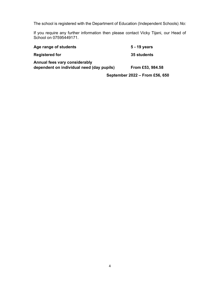The school is registered with the Department of Education (Independent Schools) No:

If you require any further information then please contact Vicky Tijani, our Head of School on 07595449171.

| Age range of students                                                      | 5 - 19 years                   |
|----------------------------------------------------------------------------|--------------------------------|
| <b>Registered for</b>                                                      | 35 students                    |
| Annual fees vary considerably<br>dependent on individual need (day pupils) | From £53, 984.58               |
|                                                                            | September 2022 - From £56, 650 |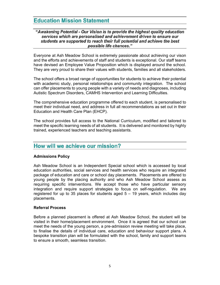# **Education Mission Statement**

#### "Awakening Potential - Our Vision is to provide the highest quality education services which are personalised and achievement driven to ensure our students are supported to reach their full potential and achieve the best possible life chances."

Everyone at Ash Meadow School is extremely passionate about achieving our vison and the efforts and achievements of staff and students is exceptional. Our staff teams have devised an Employee Value Proposition which is displayed around the school. They are very proud to share their values with students, families and all stakeholders.

The school offers a broad range of opportunities for students to achieve their potential with academic study, personal relationships and community integration. The school can offer placements to young people with a variety of needs and diagnoses, including Autistic Spectrum Disorders, CAMHS Intervention and Learning Difficulties.

The comprehensive education programme offered to each student, is personalised to meet their individual need, and address in full all recommendations as set out in their Education and Health Care Plan (EHCP).

The school provides full access to the National Curriculum, modified and tailored to meet the specific learning needs of all students. It is delivered and monitored by highly trained, experienced teachers and teaching assistants.

## How will we achieve our mission?

#### Admissions Policy

Ash Meadow School is an Independent Special school which is accessed by local education authorities, social services and health services who require an integrated package of education and care or school day placements. Placements are offered to young people by the placing authority and who Ash Meadow School assess as requiring specific interventions. We accept those who have particular sensory integration and require support strategies to focus on self-regulation. We are registered for up to 35 places for students aged 5 – 19 years, which includes day placements.

#### Referral Process

Before a planned placement is offered at Ash Meadow School, the student will be visited in their home/placement environment. Once it is agreed that our school can meet the needs of the young person, a pre-admission review meeting will take place, to finalise the details of individual care, education and behaviour support plans. A bespoke transition plan will be formulated with the school, family and support teams to ensure a smooth, seamless transition.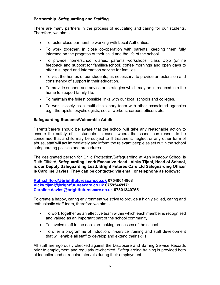## Partnership, Safeguarding and Staffing

There are many partners in the process of educating and caring for our students. Therefore, we aim: -

- To foster close partnership working with Local Authorities.
- To work together, in close co-operation with parents, keeping them fully informed on the progress of their child and the life of the school.
- To provide home/school diaries, parents workshops, class Dojo (online feedback and support for families/school) coffee mornings and open days to offer a support and information service for families.
- To visit the homes of our students, as necessary, to provide an extension and consistency of support in their education.
- To provide support and advice on strategies which may be introduced into the home to support family life.
- To maintain the fullest possible links with our local schools and colleges.
- To work closely as a multi-disciplinary team with other associated agencies e.g., therapists, psychologists, social workers, careers officers etc.

## Safeguarding Students/Vulnerable Adults

Parents/carers should be aware that the school will take any reasonable action to ensure the safety of its students. In cases where the school has reason to be concerned that a child may be subject to ill treatment, neglect or any other form of abuse, staff will act immediately and inform the relevant people as set out in the school safeguarding policies and procedures.

The designated person for Child Protection/Safeguarding at Ash Meadow School is Ruth Clifford, Safeguarding Lead/ Executive Head. Vicky Tijani, Head of School, is our Deputy Safeguarding Lead. Bright Futures Care Ltd Safeguarding Officer is Caroline Davies. They can be contacted via email or telephone as follows:

Ruth.clifford@brightfuturescare.co.uk 07540014868 Vicky.tijani@brightfuturescare.co.uk 07595449171 Caroline.davies@brightfuturescare.co.uk 07801340755

To create a happy, caring environment we strive to provide a highly skilled, caring and enthusiastic staff team, therefore we aim: -

- To work together as an effective team within which each member is recognised and valued as an important part of the school community.
- To involve staff in the decision-making processes of the school.
- To offer a programme of induction, in-service training and staff development that will enable all staff to develop and extend their skills.

All staff are rigorously checked against the Disclosure and Barring Service Records prior to employment and regularly re-checked. Safeguarding training is provided both at induction and at regular intervals during their employment.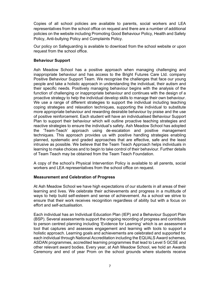Copies of all school policies are available to parents, social workers and LEA representatives from the school office on request and there are a number of additional policies on the website including Promoting Good Behaviour Policy, Health and Safety Policy, Anti-bullying Policy and Complaints Policy.

Our policy on Safeguarding is available to download from the school website or upon request from the school office.

## Behaviour Support

Ash Meadow School has a positive approach when managing challenging and inappropriate behaviour and has access to the Bright Futures Care Ltd. company Positive Behaviour Support Team. We recognise the challenges that face our young people and take a holistic approach in understanding the individual, their autism and their specific needs. Positively managing behaviour begins with the analysis of the function of challenging or inappropriate behaviour and continues with the design of a proactive strategy to help the individual develop skills to manage their own behaviour. We use a range of different strategies to support the individual including teaching coping strategies and relaxation techniques, supporting the individual to substitute more appropriate behaviour and rewarding desirable behaviour by praise and the use of positive reinforcement. Each student will have an individualised Behaviour Support Plan to support their behaviour which will outline proactive teaching strategies and reactive strategies to ensure the individual's safety. Ash Meadow School has adopted the 'Team-Teach' approach using de-escalation and positive management techniques. This approach provides us with positive handling strategies enabling planned, systematic and graded approaches that are effective, safe and the least intrusive as possible. We believe that the Team Teach Approach helps individuals in learning to make choices and to begin to take control of their behaviour. Further details of Team Teach may be obtained from the Team Teach Foundation.

A copy of the school's Physical Intervention Policy is available to all parents, social workers and LEA representatives from the school office on request.

#### Measurement and Celebration of Progress

At Ash Meadow School we have high expectations of our students in all areas of their learning and lives. We celebrate their achievements and progress in a multitude of ways to help build self-esteem and sense of achievement. As a school we strive to ensure that their work receives recognition regardless of ability but with a focus on effort and self-actualisation.

Each individual has an Individual Education Plan (IEP) and a Behaviour Support Plan (BSP). Several assessments support the ongoing recording of progress and contribute to person centred planning including 'Evidence for Learning' which is an assessment tool that captures and assesses engagement and learning with tools to support a holistic approach. Learning goals and achievements are celebrated and supported for each individual through National Accreditation including the EQUALS Award schemes, ASDAN programmes, accredited learning programmes that lead to Level 5 GCSE and other relevant award bodies. Every year, at Ash Meadow School, we hold an Awards Ceremony and end of year Prom on the school grounds where students receive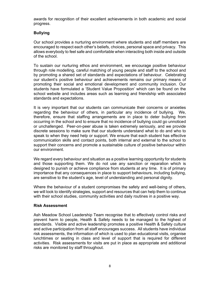awards for recognition of their excellent achievements in both academic and social progress.

## Bullying

Our school provides a nurturing environment where students and staff members are encouraged to respect each other's beliefs, choices, personal space and privacy. This allows everybody to feel safe and comfortable when interacting both inside and outside of the school.

To sustain our nurturing ethos and environment, we encourage positive behaviour through role modelling, careful matching of young people and staff to the school and by promoting a shared set of standards and expectations of behaviour. Celebrating our student's positive behaviour and achievements remains our primary means of promoting their social and emotional development and community inclusion. Our students have formulated a 'Student Value Proposition' which can be found on the school website and includes areas such as learning and friendship with associated standards and expectations.

It is very important that our students can communicate their concerns or anxieties regarding the behaviour of others, in particular any incidence of bullying. We, therefore, ensure that staffing arrangements are in place to deter bullying from occurring in the school and to ensure that no incidence of bullying could go unnoticed or unchallenged. Peer-on-peer abuse is taken extremely seriously, and we provide discrete sessions to make sure that our students understand what to do and who to speak to when they need help or support. We ensure that each student has effective communication skills and contact points, both internal and external to the school to support their concerns and promote a sustainable culture of positive behaviour within our environment.

We regard every behaviour and situation as a positive learning opportunity for students and those supporting them. We do not use any sanction or reparation which is designed to punish or achieve compliance from students at any time. It is of primary importance that any consequences in place to support behaviours, including bullying, are sensitive to the student's age, level of understanding and personal dignity.

Where the behaviour of a student compromises the safety and well-being of others, we will look to identify strategies, support and resources that can help them to continue with their school studies, community activities and daily routines in a positive way.

#### Risk Assessment

Ash Meadow School Leadership Team recognise that to effectively control risks and prevent harm to people, Health & Safety needs to be managed to the highest of standards. Visible and active leadership promotes a positive Health & Safety culture and active participation from all staff encourages success. All students have individual risk assessments, the information of which is used to plan educational visits, organise lunchtimes or seating in class and level of support that is required for different activities. Risk assessments for visits are put in place as appropriate and additional risks are monitored by staff throughout.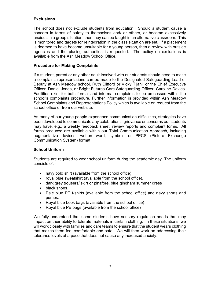## **Exclusions**

The school does not exclude students from education. Should a student cause a concern in terms of safety to themselves and/ or others, or become excessively anxious in a group situation, then they can be taught in an alternative classroom. This is monitored and targets for reintegration in the class situation are set. If a placement is deemed to have become unsuitable for a young person, then a review with outside agencies and the placing authorities is requested. The policy on exclusions is available from the Ash Meadow School Office.

#### Procedure for Making Complaints

If a student, parent or any other adult involved with our students should need to make a complaint, representations can be made to the Designated Safeguarding Lead or Deputy at Ash Meadow school, Ruth Clifford or Vicky Tijani, or the Chief Executive Officer, Daniel Jones, or Bright Futures Care Safeguarding Officer, Caroline Davies. Facilities exist for both formal and informal complaints to be processed within the school's complaints procedure. Further information is provided within Ash Meadow School Complaints and Representations Policy which is available on request from the school office or from our website.

As many of our young people experience communication difficulties, strategies have been developed to communicate any celebrations, grievance or concerns our students may have, e.g., a weekly feedback sheet, review reports and complaint forms. All forms produced are available within our Total Communication Approach, including augmentative devices, written word, symbols or PECS (Picture Exchange Communication System) format.

## School Uniform

Students are required to wear school uniform during the academic day. The uniform consists of: -

- navy polo shirt (available from the school office),
- royal blue sweatshirt (available from the school office),
- dark grey trousers/ skirt or pinafore, blue gingham summer dress
- black shoes.
- Pale blue PE t-shirts (available from the school office) and navy shorts and pumps.
- Royal blue book bags (available from the school office)
- Royal blue PE bags (available from the school office)

We fully understand that some students have sensory regulation needs that may impact on their ability to tolerate materials in certain clothing. In these situations, we will work closely with families and care teams to ensure that the student wears clothing that makes them feel comfortable and safe. We will then work on addressing their tolerance levels at a pace that does not cause any increased anxiety.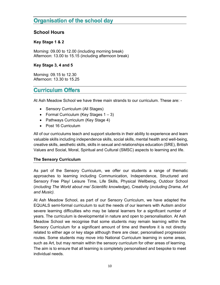# **Organisation of the school day**

## School Hours

## Key Stage 1 & 2

Morning: 09.00 to 12.00 (including morning break) Afternoon: 13.00 to 15.15 (including afternoon break)

## Key Stage 3, 4 and 5

Morning: 09.15 to 12.30 Afternoon: 13.30 to 15.25

# **Curriculum Offers**

At Ash Meadow School we have three main strands to our curriculum. These are: -

- Sensory Curriculum (All Stages)
- Formal Curriculum (Key Stages  $1 3$ )
- Pathways Curriculum (Key Stage 4)
- Post 16 Curriculum

All of our curriculums teach and support students in their ability to experience and learn valuable skills including independence skills, social skills, mental health and well-being, creative skills, aesthetic skills, skills in sexual and relationships education (SRE), British Values and Social, Moral, Spiritual and Cultural (SMSC) aspects to learning and life.

## The Sensory Curriculum

As part of the Sensory Curriculum, we offer our students a range of thematic approaches to learning including Communication, Independence, Structured and Sensory Free Play/ Leisure Time, Life Skills, Physical Wellbeing, Outdoor School (including The World about me/ Scientific knowledge), Creativity (including Drama, Art and Music).<br>At Ash Meadow School, as part of our Sensory Curriculum, we have adapted the

EQUALS semi-formal curriculum to suit the needs of our learners with Autism and/or severe learning difficulties who may be lateral learners for a significant number of years. The curriculum is developmental in nature and open to personalisation. At Ash Meadow School we recognise that some students may remain learning within the Sensory Curriculum for a significant amount of time and therefore it is not directly related to either age or key stage although there are clear, personalised progression routes. Some students may move into National Curriculum learning in some areas, such as Art, but may remain within the sensory curriculum for other areas of learning. The aim is to ensure that all learning is completely personalised and bespoke to meet individual needs.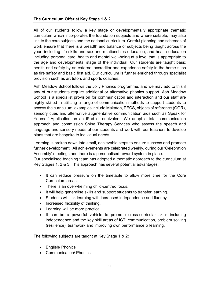All of our students follow a key stage or developmentally appropriate thematic curriculum which incorporates the foundation subjects and where suitable, may also link to the core subjects and the national curriculum. Careful planning and schemes of work ensure that there is a breadth and balance of subjects being taught across the year, including life skills and sex and relationships education, and health education including personal care, health and mental well-being at a level that is appropriate to the age and developmental stage of the individual. Our students are taught basic health and safety by an external accreditor and experience safety in the home such as fire safety and basic first aid. Our curriculum is further enriched through specialist provision such as art tutors and sports coaches.

Ash Meadow School follows the Jolly Phonics programme, and we may add to this if any of our students require additional or alternative phonics support. Ash Meadow School is a specialist provision for communication and interaction and our staff are highly skilled in utilising a range of communication methods to support students to access the curriculum, examples include Makaton, PECS, objects of reference (OOR), sensory cues and alternative augmentative communication aids such as Speak for Yourself Application on an iPad or equivalent. We adopt a total communication approach and commission Shine Therapy Services who assess the speech and language and sensory needs of our students and work with our teachers to develop plans that are bespoke to individual needs.

Learning is broken down into small, achievable steps to ensure success and promote further development. All achievements are celebrated weekly, during our 'Celebration Assembly' meetings and there is a personalised reward system in place.

Our specialised teaching team has adopted a thematic approach to the curriculum at Key Stages 1, 2 & 3. This approach has several potential advantages:

- It can reduce pressure on the timetable to allow more time for the Core Curriculum areas.
- There is an overwhelming child-centred focus.
- It will help generalise skills and support students to transfer learning.
- Students will link learning with increased independence and fluency.
- Increased flexibility of thinking.
- Learning will be more practical.
- It can be a powerful vehicle to promote cross-curricular skills including independence and the key skill areas of ICT, communication, problem solving (resilience), teamwork and improving own performance & learning.

The following subjects are taught at Key Stage 1 & 2:

- English/ Phonics
- Communication/ Phonics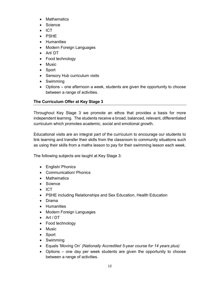- Mathematics
- Science
- $\bullet$  ICT
- PSHE
- Humanities
- Modern Foreign Languages
- Art/ DT
- Food technology
- Music
- Sport
- Sensory Hub curriculum visits
- Swimming
- Options one afternoon a week, students are given the opportunity to choose between a range of activities.

## The Curriculum Offer at Key Stage 3

Throughout Key Stage 3 we promote an ethos that provides a basis for more independent learning. The students receive a broad, balanced, relevant, differentiated curriculum which promotes academic, social and emotional growth.

Educational visits are an integral part of the curriculum to encourage our students to link learning and transfer their skills from the classroom to community situations such as using their skills from a maths lesson to pay for their swimming lesson each week.

The following subjects are taught at Key Stage 3:

- English/ Phonics
- Communication/ Phonics
- Mathematics
- Science
- $\bullet$  ICT
- PSHE including Relationships and Sex Education, Health Education
- Drama
- Humanities
- Modern Foreign Languages
- Art / DT
- Food technology
- Music
- Sport
- Swimming
- Equals 'Moving On' (Nationally Accredited 5-year course for 14 years plus)
- Options one day per week students are given the opportunity to choose between a range of activities.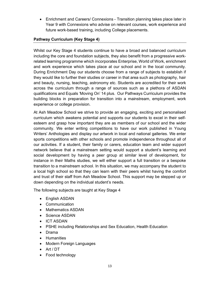Enrichment and Careers/ Connexions - Transition planning takes place later in Year 9 with Connexions who advise on relevant courses, work experience and future work-based training, including College placements.

## Pathway Curriculum (Key Stage 4)

Whilst our Key Stage 4 students continue to have a broad and balanced curriculum including the core and foundation subjects, they also benefit from a progressive workrelated learning programme which incorporates Enterprise, World of Work, enrichment and work experience which takes place at our school and in the local community. During Enrichment Day our students choose from a range of subjects to establish if they would like to further their studies or career in that area such as photography, hair and beauty, nursing, teaching, astronomy etc. Students are accredited for their work across the curriculum through a range of sources such as a plethora of ASDAN qualifications and Equals 'Moving On' 14 plus. Our Pathways Curriculum provides the building blocks in preparation for transition into a mainstream, employment, work experience or college provision.

At Ash Meadow School we strive to provide an engaging, exciting and personalised curriculum which awakens potential and supports our students to excel in their selfesteem and grasp how important they are as members of our school and the wider community. We enter writing competitions to have our work published in Young Writers' Anthologies and display our artwork in local and national galleries. We enter sports competitions with other schools and promote independence throughout all of our activities. If a student, their family or carers, education team and wider support network believe that a mainstream setting would support a student's learning and social development by having a peer group at similar level of development, for instance in their Maths studies, we will either support a full transition or a bespoke transition to a mainstream school. In this situation, we may accompany the student to a local high school so that they can learn with their peers whilst having the comfort and trust of their staff from Ash Meadow School. This support may be stepped up or down depending on the individual student's needs.

The following subjects are taught at Key Stage 4

- English ASDAN
- Communication
- Mathematics ASDAN
- Science ASDAN
- ICT ASDAN
- PSHE including Relationships and Sex Education, Health Education
- Drama
- Humanities
- Modern Foreign Languages
- Art / DT
- Food technology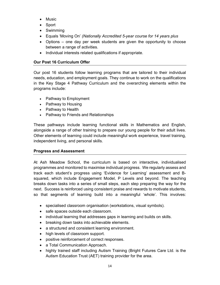- Music
- Sport
- Swimming
- Equals 'Moving On' (Nationally Accredited 5-year course for 14 years plus
- Options one day per week students are given the opportunity to choose between a range of activities.
- Individual interests related qualifications if appropriate.

## Our Post 16 Curriculum Offer

Our post 16 students follow learning programs that are tailored to their individual needs, education, and employment goals. They continue to work on the qualifications in the Key Stage 4 Pathway Curriculum and the overarching elements within the programs include:

- Pathway to Employment
- Pathway to Housing
- Pathway to Health
- Pathway to Friends and Relationships

These pathways include learning functional skills in Mathematics and English, alongside a range of other training to prepare our young people for their adult lives. Other elements of learning could include meaningful work experience, travel training, independent living, and personal skills.

## Progress and Assessment

At Ash Meadow School, the curriculum is based on interactive, individualised programmes and monitored to maximise individual progress. We regularly assess and track each student's progress using 'Evidence for Learning' assessment and Bsquared, which include Engagement Model, P Levels and beyond. The teaching breaks down tasks into a series of small steps, each step preparing the way for the next. Success is reinforced using consistent praise and rewards to motivate students, so that segments of learning build into a meaningful 'whole'. This involves:

- specialised classroom organisation (workstations, visual symbols).
- safe spaces outside each classroom.
- individual learning that addresses gaps in learning and builds on skills.
- breaking down tasks into achievable elements.
- a structured and consistent learning environment.
- high levels of classroom support.
- positive reinforcement of correct responses.
- a Total Communication Approach.
- highly trained staff including Autism Training (Bright Futures Care Ltd. is the Autism Education Trust (AET) training provider for the area.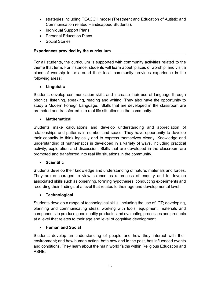- strategies including TEACCH model (Treatment and Education of Autistic and Communication related Handicapped Students).
- Individual Support Plans.
- Personal Education Plans
- Social Stories.

## Experiences provided by the curriculum

For all students, the curriculum is supported with community activities related to the theme that term. For instance, students will learn about 'places of worship' and visit a place of worship in or around their local community provides experience in the following areas:

## Linguistic

Students develop communication skills and increase their use of language through phonics, listening, speaking, reading and writing. They also have the opportunity to study a Modern Foreign Language. Skills that are developed in the classroom are promoted and transferred into real life situations in the community.

## • Mathematical

Students make calculations and develop understanding and appreciation of relationships and patterns in number and space. They have opportunity to develop their capacity to think logically and to express themselves clearly. Knowledge and understanding of mathematics is developed in a variety of ways, including practical activity, exploration and discussion. Skills that are developed in the classroom are promoted and transferred into real life situations in the community.

## Scientific

Students develop their knowledge and understanding of nature, materials and forces. They are encouraged to view science as a process of enquiry and to develop associated skills such as observing, forming hypotheses, conducting experiments and recording their findings at a level that relates to their age and developmental level.

## • Technological

Students develop a range of technological skills, including the use of ICT; developing, planning and communicating ideas; working with tools, equipment, materials and components to produce good quality products; and evaluating processes and products at a level that relates to their age and level of cognitive development.

## • Human and Social

Students develop an understanding of people and how they interact with their environment; and how human action, both now and in the past, has influenced events and conditions. They learn about the main world faiths within Religious Education and PSHE.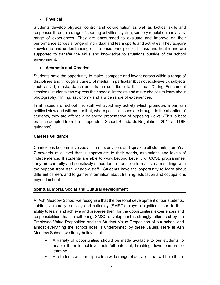## Physical

Students develop physical control and co-ordination as well as tactical skills and responses through a range of sporting activities, cycling, sensory regulation and a vast range of experiences. They are encouraged to evaluate and improve on their performance across a range of individual and team sports and activities. They acquire knowledge and understanding of the basic principles of fitness and health and are supported to transfer the skills and knowledge to situations outside of the school environment.

## Aesthetic and Creative

Students have the opportunity to make, compose and invent across within a range of disciplines and through a variety of media. In particular (but not exclusively), subjects such as art, music, dance and drama contribute to this area. During Enrichment sessions, students can express their special interests and make choices to learn about photography, filming, astronomy and a wide range of experiences.

In all aspects of school life, staff will avoid any activity which promotes a partisan political view and will ensure that, where political issues are brought to the attention of students, they are offered a balanced presentation of opposing views. (This is best practice adapted from the Independent School Standards Regulations 2014 and DfE guidance)

## Careers Guidance

Connexions become involved as careers advisors and speak to all students from Year 7 onwards at a level that is appropriate to their needs, aspirations and levels of independence. If students are able to work beyond Level 5 of GCSE programmes, they are carefully and sensitively supported to transition to mainstream settings with the support from Ash Meadow staff. Students have the opportunity to learn about different careers and to gather information about training, education and occupations beyond school.

## Spiritual, Moral, Social and Cultural development

At Ash Meadow School we recognise that the personal development of our students, spiritually, morally, socially and culturally (SMSC), plays a significant part in their ability to learn and achieve and prepares them for the opportunities, experiences and responsibilities that life will bring. SMSC development is strongly influenced by the Employee Value Proposition and the Student Value Proposition of our school and almost everything the school does is underpinned by these values. Here at Ash Meadow School, we firmly believe that:

- A variety of opportunities should be made available to our students to enable them to achieve their full potential, breaking down barriers to learning.
- All students will participate in a wide range of activities that will help them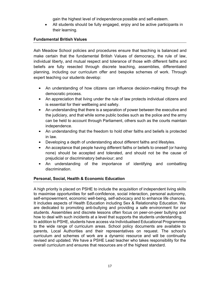gain the highest level of independence possible and self-esteem.

 All students should be fully engaged, enjoy and be active participants in their learning.

## Fundamental British Values

Ash Meadow School policies and procedures ensure that teaching is balanced and make certain that the fundamental British Values of democracy, the rule of law, individual liberty, and mutual respect and tolerance of those with different faiths and beliefs are fully resected through discrete teaching, assemblies, differentiated planning, including our curriculum offer and bespoke schemes of work. Through expert teaching our students develop:

- An understanding of how citizens can influence decision-making through the democratic process.
- An appreciation that living under the rule of law protects individual citizens and is essential for their wellbeing and safety.
- An understanding that there is a separation of power between the executive and the judiciary, and that while some public bodies such as the police and the army can be held to account through Parliament, others such as the courts maintain independence.
- An understanding that the freedom to hold other faiths and beliefs is protected in law.
- Developing a depth of understanding about different faiths and lifestyles.
- An acceptance that people having different faiths or beliefs to oneself (or having none) should be accepted and tolerated, and should not be the cause of prejudicial or discriminatory behaviour; and
- An understanding of the importance of identifying and combatting discrimination.

#### Personal, Social, Health & Economic Education

A high priority is placed on PSHE to include the acquisition of independent living skills to maximise opportunities for self-confidence, social interaction, personal autonomy, self-empowerment, economic well-being, self-advocacy and to enhance life chances. It includes aspects of Health Education including Sex & Relationship Education. We are dedicated to promoting anti-bullying and providing a safe environment for our students. Assemblies and discrete lessons often focus on peer-on-peer bullying and how to deal with such incidents at a level that supports the students understanding. In addition to PSHE, students have access via Individualised Educational Programmes to the wide range of curriculum areas. School policy documents are available to parents, Local Authorities and their representatives on request. The school's curriculum and schemes of work are a dynamic resource and will be continually revised and updated. We have a PSHE Lead teacher who takes responsibility for the overall curriculum and ensures that resources are of the highest standard.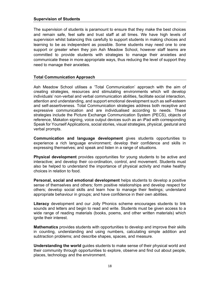The supervision of students is paramount to ensure that they make the best choices and remain safe, feel safe and trust staff at all times. We have high levels of supervision whilst balancing this carefully to support students in making choices and learning to be as independent as possible. Some students may need one to one support or greater when they join Ash Meadow School, however staff teams are committed to provide students with strategies to manage their anxieties and communicate these in more appropriate ways, thus reducing the level of support they need to manage their anxieties.

#### Total Communication Approach

Ash Meadow School utilises a 'Total Communication' approach with the aim of creating strategies, resources and stimulating environments which will develop individuals' non-verbal and verbal communication abilities, facilitate social interaction, attention and understanding, and support emotional development such as self-esteem and self-assertiveness. Total Communication strategies address both receptive and expressive communication and are individualised according to needs. These strategies include the Picture Exchange Communication System (PECS), objects of reference, Makaton signing, voice output devices such as an iPad with corresponding Speak for Yourself Applications, social stories, visual strategies, physical, gestural and verbal prompts.

Communication and language development gives students opportunities to experience a rich language environment; develop their confidence and skills in expressing themselves; and speak and listen in a range of situations.

Physical development provides opportunities for young students to be active and interactive; and develop their co-ordination, control, and movement. Students must also be helped to understand the importance of physical activity and make healthy choices in relation to food.

Personal, social and emotional development helps students to develop a positive sense of themselves and others; form positive relationships and develop respect for others; develop social skills and learn how to manage their feelings; understand appropriate behaviour in groups; and have confidence in their own abilities.

Literacy development and our Jolly Phonics scheme encourages students to link sounds and letters and begin to read and write. Students must be given access to a wide range of reading materials (books, poems, and other written materials) which ignite their interest.

**Mathematics** provides students with opportunities to develop and improve their skills in counting, understanding and using numbers, calculating simple addition and subtraction problems; and describe shapes, spaces, and measure.

Understanding the world guides students to make sense of their physical world and their community through opportunities to explore, observe and find out about people, places, technology and the environment.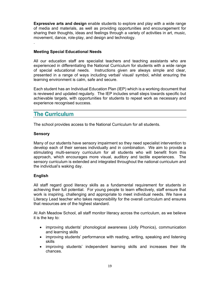Expressive arts and design enable students to explore and play with a wide range of media and materials, as well as providing opportunities and encouragement for sharing their thoughts, ideas and feelings through a variety of activities in art, music, movement, dance, role-play, and design and technology.

## Meeting Special Educational Needs

All our education staff are specialist teachers and teaching assistants who are experienced in differentiating the National Curriculum for students with a wide range of special educational needs. Instructions given are always simple and clear, presented in a range of ways including verbal/ visual/ symbol, whilst ensuring the learning environment is calm, safe and secure.

Each student has an Individual Education Plan (IEP) which is a working document that is reviewed and updated regularly. The IEP includes small steps towards specific but achievable targets, with opportunities for students to repeat work as necessary and experience recognised success.

# **The Curriculum**

The school provides access to the National Curriculum for all students.

## Sensory

.

Many of our students have sensory impairment so they need specialist intervention to develop each of their senses individually and in combination. We aim to provide a stimulating multi-sensory curriculum for all students who will benefit from this approach, which encourages more visual, auditory and tactile experiences. The sensory curriculum is extended and integrated throughout the national curriculum and the individual's waking day.

## English

All staff regard good literacy skills as a fundamental requirement for students in achieving their full potential. For young people to learn effectively, staff ensure that work is inspiring, challenging and appropriate to meet individual needs. We have a Literacy Lead teacher who takes responsibility for the overall curriculum and ensures that resources are of the highest standard.

At Ash Meadow School, all staff monitor literacy across the curriculum, as we believe it is the key to:

- improving students' phonological awareness (Jolly Phonics), communication and learning skills
- improving students' performance with reading, writing, speaking and listening skills
- improving students' independent learning skills and increases their life chances.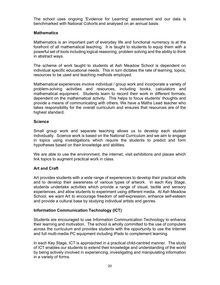The school uses ongoing 'Evidence for Learning' assessment and our data is benchmarked with National Cohorts and analysed on an annual basis.

## **Mathematics**

Mathematics is an important part of everyday life and functional numeracy is at the forefront of all mathematical teaching. It is taught to students to equip them with a powerful set of tools including logical reasoning, problem solving and the ability to think in abstract ways.

The scheme of work taught to students at Ash Meadow School is dependent on individual specific educational needs. This in turn dictates the rate of learning, topics, resources to be used and teaching methods employed.

Mathematical experiences involve individual / group work and incorporate a variety of problem-solving activities and resources, including books, calculators and mathematical equipment. Students learn to record their work in different formats, dependent on the mathematical activity. This helps to focus students' thoughts and provide a means of communicating with others. We have a Maths Lead teacher who takes responsibility for the overall curriculum and ensures that resources are of the highest standard.

## **Science**

Small group work and separate teaching allows us to develop each student individually. Science work is based on the National Curriculum and we aim to engage in topics using investigations which require the students to predict and form hypotheses based on their knowledge and abilities.

We are able to use the environment, the internet, visit exhibitions and places which link topics to augment practical work in class.

## Art and Craft

Art provides students with a wide range of experiences to develop their practical skills and to develop their awareness of various types of artwork. In each Key Stage, students undertake activities which provide a range of visual, tactile and sensory experiences, and allow students to experiment using different media. At Ash Meadow School, we want Art to encourage freedom of self-expression, enhance self-esteem and provide a cultural base by studying individual artists and genres.

## Information Communication Technology (ICT)

Students are encouraged to use Information Communication Technology to enhance their learning and motivation. The school is wholly committed to the use of computers across the curriculum and provides students with the opportunity to use the Internet and full multi-media PC equipment including iPads to complement learning.

In each Key Stage, ICT is approached in a practical child-centred manner. The study of ICT enables our students to extend their knowledge and understanding of the world by being actively involved in experiencing, investigating and manipulating information in a variety of forms.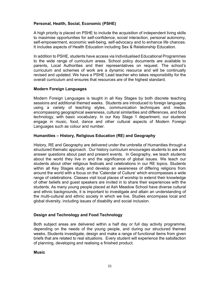## Personal, Health, Social, Economic (PSHE)

A high priority is placed on PSHE to include the acquisition of independent living skills to maximise opportunities for self-confidence, social interaction, personal autonomy, self-empowerment, economic well-being, self-advocacy and to enhance life chances. It includes aspects of Health Education including Sex & Relationship Education.

In addition to PSHE, students have access via Individualised Educational Programmes to the wide range of curriculum areas. School policy documents are available to parents, Local Authorities and their representatives on request. The school's curriculum and schemes of work are a dynamic resource and will be continually revised and updated. We have a PSHE Lead teacher who takes responsibility for the overall curriculum and ensures that resources are of the highest standard.

## Modern Foreign Languages

Modern Foreign Languages is taught in all Key Stages by both discrete teaching sessions and additional themed weeks. Students are introduced to foreign languages using a variety of teaching styles, communication techniques and media, encompassing geographical awareness, cultural similarities and differences, and food technology, with basic vocabulary. In our Key Stage 1 department, our students engage in music, food, dance and other cultural aspects of Modern Foreign Languages such as colour and number.

## Humanities – History, Religious Education (RE) and Geography

History, RE and Geography are delivered under the umbrella of Humanities through a structured thematic approach. Our history curriculum encourages students to ask and answer questions about past and present events. In Geography, we teach students about the world they live in and the significance of global issues. We teach our students about other religious festivals and celebrations in our RE topics. Students within all Key Stages study and develop an awareness of differing religions from around the world with a focus on the 'Calendar of Culture' which encompasses a wide range of celebrations. Classes visit local places of worship to extend their knowledge of other beliefs and guest speakers are invited in to share their experiences with the students. As many young people placed at Ash Meadow School have diverse cultural and ethnic backgrounds, it is important to investigate and attain an understanding of the multi-cultural and ethnic society in which we live. Studies encompass local and global diversity, including issues of disability and social inclusion.

#### Design and Technology and Food Technology

Both subject areas are delivered within a half day or full day activity programme, depending on the needs of the young people, and during our structured themed weeks. Students investigate, design and make a range of functional items from given briefs that are related to real situations. Every student will experience the satisfaction of planning, developing and realising a finished product.

#### **Music**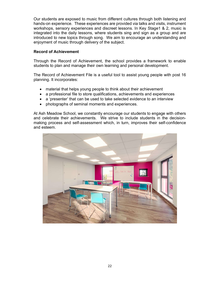Our students are exposed to music from different cultures through both listening and hands-on experience. These experiences are provided via talks and visits, instrument workshops, sensory experiences and discreet lessons. In Key Stage1 & 2, music is integrated into the daily lessons, where students sing and sign as a group and are introduced to new topics through song. We aim to encourage an understanding and enjoyment of music through delivery of the subject.

## Record of Achievement

Through the Record of Achievement, the school provides a framework to enable students to plan and manage their own learning and personal development.

The Record of Achievement File is a useful tool to assist young people with post 16 planning. It incorporates:

- material that helps young people to think about their achievement
- a professional file to store qualifications, achievements and experiences
- a 'presenter' that can be used to take selected evidence to an interview
- photographs of seminal moments and experiences.

At Ash Meadow School, we constantly encourage our students to engage with others and celebrate their achievements. We strive to include students in the decisionmaking process and self-assessment which, in turn, improves their self-confidence and esteem.

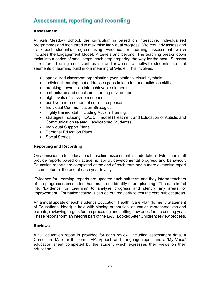# **Assessment, reporting and recording**

#### Assessment

At Ash Meadow School, the curriculum is based on interactive, individualised programmes and monitored to maximise individual progress. We regularly assess and track each student's progress using 'Evidence for Learning' assessment, which includes the Engagement Model, P Levels and beyond. The teaching breaks down tasks into a series of small steps, each step preparing the way for the next. Success is reinforced using consistent praise and rewards to motivate students, so that segments of learning build into a meaningful 'whole'. This involves:

- specialised classroom organisation (workstations, visual symbols).
- individual learning that addresses gaps in learning and builds on skills.
- breaking down tasks into achievable elements.
- a structured and consistent learning environment.
- high levels of classroom support.
- positive reinforcement of correct responses.
- Individual Communication Strategies.
- Highly trained staff including Autism Training.
- strategies including TEACCH model (Treatment and Education of Autistic and Communication related Handicapped Students).
- Individual Support Plans.
- Personal Education Plans.
- Social Stories.

## Reporting and Recording

On admission, a full educational baseline assessment is undertaken. Education staff provide reports based on academic ability, developmental progress and behaviour. Education reports are completed at the end of each term and a more extensive report is completed at the end of each year in July.

'Evidence for Learning' reports are updated each half term and they inform teachers of the progress each student has made and identify future planning. The data is fed into 'Evidence for Learning' to analyse progress and identify any areas for improvement. Formative testing is carried out regularly to test the core subject areas.

An annual update of each student's Education, Health, Care Plan (formerly Statement of Educational Need) is held with placing authorities, education representatives and parents, reviewing targets for the preceding and setting new ones for the coming year. These reports form an integral part of the LAC (Looked After Children) review process.

#### Reviews

A full education report is provided for each review, including assessment data, a Curriculum Map for the term, IEP, Speech and Language report and a 'My Voice' education sheet completed by the student which expresses their views on their education.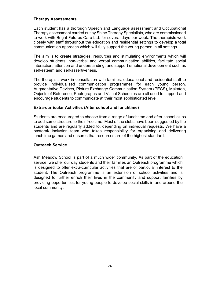## Therapy Assessments

Each student has a thorough Speech and Language assessment and Occupational Therapy assessment carried out by Shine Therapy Specialists, who are commissioned to work with Bright Futures Care Ltd. for several days per week. The therapists work closely with staff throughout the education and residential settings to develop a total communication approach which will fully support the young person in all settings.

The aim is to create strategies, resources and stimulating environments which will develop students' non-verbal and verbal communication abilities, facilitate social interaction, attention and understanding, and support emotional development such as self-esteem and self-assertiveness.

The therapists work in consultation with families, educational and residential staff to provide individualised communication programmes for each young person. Augmentative Devices, Picture Exchange Communication System (PECS), Makaton, Objects of Reference, Photographs and Visual Schedules are all used to support and encourage students to communicate at their most sophisticated level.

#### Extra-curricular Activities (After school and lunchtime)

Students are encouraged to choose from a range of lunchtime and after school clubs to add some structure to their free time. Most of the clubs have been suggested by the students and are regularly added to, depending on individual requests. We have a pastoral/ inclusion team who takes responsibility for organising and delivering lunchtime games and ensures that resources are of the highest standard.

#### Outreach Service

Ash Meadow School is part of a much wider community. As part of the education service, we offer our day students and their families an Outreach programme which is designed to offer extra-curricular activities that are of particular interest to the student. The Outreach programme is an extension of school activities and is designed to further enrich their lives in the community and support families by providing opportunities for young people to develop social skills in and around the local community.